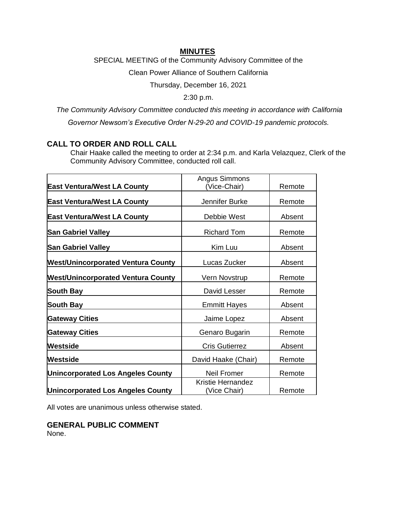## **MINUTES**

SPECIAL MEETING of the Community Advisory Committee of the

Clean Power Alliance of Southern California

Thursday, December 16, 2021

2:30 p.m.

*The Community Advisory Committee conducted this meeting in accordance with California Governor Newsom's Executive Order N-29-20 and COVID-19 pandemic protocols.*

# **CALL TO ORDER AND ROLL CALL**

Chair Haake called the meeting to order at 2:34 p.m. and Karla Velazquez, Clerk of the Community Advisory Committee, conducted roll call.

| <b>East Ventura/West LA County</b>        | Angus Simmons<br>(Vice-Chair)            | Remote |
|-------------------------------------------|------------------------------------------|--------|
|                                           |                                          |        |
| <b>East Ventura/West LA County</b>        | Jennifer Burke                           | Remote |
| <b>East Ventura/West LA County</b>        | Debbie West                              | Absent |
| <b>San Gabriel Valley</b>                 | <b>Richard Tom</b>                       | Remote |
| <b>San Gabriel Valley</b>                 | Kim Luu                                  | Absent |
| <b>West/Unincorporated Ventura County</b> | Lucas Zucker                             | Absent |
| <b>West/Unincorporated Ventura County</b> | Vern Novstrup                            | Remote |
| South Bay                                 | David Lesser                             | Remote |
| <b>South Bay</b>                          | <b>Emmitt Hayes</b>                      | Absent |
| <b>Gateway Cities</b>                     | Jaime Lopez                              | Absent |
| <b>Gateway Cities</b>                     | Genaro Bugarin                           | Remote |
| Westside                                  | <b>Cris Gutierrez</b>                    | Absent |
| Westside                                  | David Haake (Chair)                      | Remote |
| <b>Unincorporated Los Angeles County</b>  | Neil Fromer                              | Remote |
| <b>Unincorporated Los Angeles County</b>  | <b>Kristie Hernandez</b><br>(Vice Chair) | Remote |

All votes are unanimous unless otherwise stated.

**GENERAL PUBLIC COMMENT** None.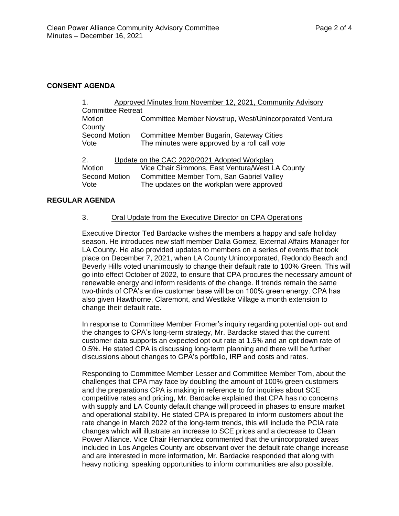### **CONSENT AGENDA**

| $\mathbf 1$ .                                      | Approved Minutes from November 12, 2021, Community Advisory |                                                        |  |  |
|----------------------------------------------------|-------------------------------------------------------------|--------------------------------------------------------|--|--|
| <b>Committee Retreat</b>                           |                                                             |                                                        |  |  |
| Motion                                             |                                                             | Committee Member Novstrup, West/Unincorporated Ventura |  |  |
| County                                             |                                                             |                                                        |  |  |
| <b>Second Motion</b>                               |                                                             | Committee Member Bugarin, Gateway Cities               |  |  |
| Vote                                               |                                                             | The minutes were approved by a roll call vote          |  |  |
| Update on the CAC 2020/2021 Adopted Workplan<br>2. |                                                             |                                                        |  |  |
| Motion                                             |                                                             | Vice Chair Simmons, East Ventura/West LA County        |  |  |
| <b>Second Motion</b>                               |                                                             | Committee Member Tom, San Gabriel Valley               |  |  |
| Vote                                               |                                                             | The updates on the workplan were approved              |  |  |
|                                                    |                                                             |                                                        |  |  |

### **REGULAR AGENDA**

### 3. Oral Update from the Executive Director on CPA Operations

Executive Director Ted Bardacke wishes the members a happy and safe holiday season. He introduces new staff member Dalia Gomez, External Affairs Manager for LA County. He also provided updates to members on a series of events that took place on December 7, 2021, when LA County Unincorporated, Redondo Beach and Beverly Hills voted unanimously to change their default rate to 100% Green. This will go into effect October of 2022, to ensure that CPA procures the necessary amount of renewable energy and inform residents of the change. If trends remain the same two-thirds of CPA's entire customer base will be on 100% green energy. CPA has also given Hawthorne, Claremont, and Westlake Village a month extension to change their default rate.

In response to Committee Member Fromer's inquiry regarding potential opt- out and the changes to CPA's long-term strategy, Mr. Bardacke stated that the current customer data supports an expected opt out rate at 1.5% and an opt down rate of 0.5%. He stated CPA is discussing long-term planning and there will be further discussions about changes to CPA's portfolio, IRP and costs and rates.

Responding to Committee Member Lesser and Committee Member Tom, about the challenges that CPA may face by doubling the amount of 100% green customers and the preparations CPA is making in reference to for inquiries about SCE competitive rates and pricing, Mr. Bardacke explained that CPA has no concerns with supply and LA County default change will proceed in phases to ensure market and operational stability. He stated CPA is prepared to inform customers about the rate change in March 2022 of the long-term trends, this will include the PCIA rate changes which will illustrate an increase to SCE prices and a decrease to Clean Power Alliance. Vice Chair Hernandez commented that the unincorporated areas included in Los Angeles County are observant over the default rate change increase and are interested in more information, Mr. Bardacke responded that along with heavy noticing, speaking opportunities to inform communities are also possible.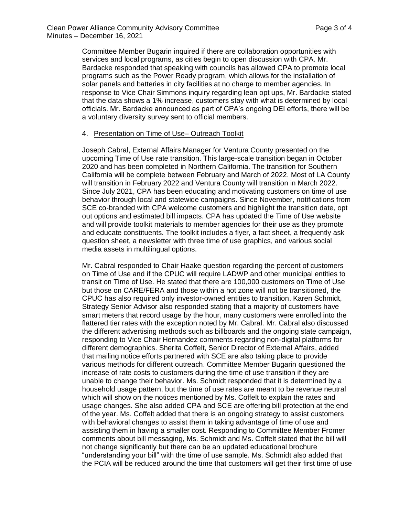Committee Member Bugarin inquired if there are collaboration opportunities with services and local programs, as cities begin to open discussion with CPA. Mr. Bardacke responded that speaking with councils has allowed CPA to promote local programs such as the Power Ready program, which allows for the installation of solar panels and batteries in city facilities at no charge to member agencies. In response to Vice Chair Simmons inquiry regarding lean opt ups, Mr. Bardacke stated that the data shows a 1% increase, customers stay with what is determined by local officials. Mr. Bardacke announced as part of CPA's ongoing DEI efforts, there will be a voluntary diversity survey sent to official members.

#### 4. Presentation on Time of Use– Outreach Toolkit

Joseph Cabral, External Affairs Manager for Ventura County presented on the upcoming Time of Use rate transition. This large-scale transition began in October 2020 and has been completed in Northern California. The transition for Southern California will be complete between February and March of 2022. Most of LA County will transition in February 2022 and Ventura County will transition in March 2022. Since July 2021, CPA has been educating and motivating customers on time of use behavior through local and statewide campaigns. Since November, notifications from SCE co-branded with CPA welcome customers and highlight the transition date, opt out options and estimated bill impacts. CPA has updated the Time of Use website and will provide toolkit materials to member agencies for their use as they promote and educate constituents. The toolkit includes a flyer, a fact sheet, a frequently ask question sheet, a newsletter with three time of use graphics, and various social media assets in multilingual options.

Mr. Cabral responded to Chair Haake question regarding the percent of customers on Time of Use and if the CPUC will require LADWP and other municipal entities to transit on Time of Use. He stated that there are 100,000 customers on Time of Use but those on CARE/FERA and those within a hot zone will not be transitioned, the CPUC has also required only investor-owned entities to transition. Karen Schmidt, Strategy Senior Advisor also responded stating that a majority of customers have smart meters that record usage by the hour, many customers were enrolled into the flattered tier rates with the exception noted by Mr. Cabral. Mr. Cabral also discussed the different advertising methods such as billboards and the ongoing state campaign, responding to Vice Chair Hernandez comments regarding non-digital platforms for different demographics. Sherita Coffelt, Senior Director of External Affairs, added that mailing notice efforts partnered with SCE are also taking place to provide various methods for different outreach. Committee Member Bugarin questioned the increase of rate costs to customers during the time of use transition if they are unable to change their behavior. Ms. Schmidt responded that it is determined by a household usage pattern, but the time of use rates are meant to be revenue neutral which will show on the notices mentioned by Ms. Coffelt to explain the rates and usage changes. She also added CPA and SCE are offering bill protection at the end of the year. Ms. Coffelt added that there is an ongoing strategy to assist customers with behavioral changes to assist them in taking advantage of time of use and assisting them in having a smaller cost. Responding to Committee Member Fromer comments about bill messaging, Ms. Schmidt and Ms. Coffelt stated that the bill will not change significantly but there can be an updated educational brochure "understanding your bill" with the time of use sample. Ms. Schmidt also added that the PCIA will be reduced around the time that customers will get their first time of use